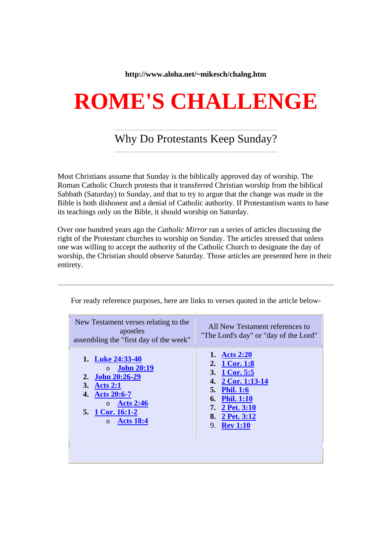**http://www.aloha.net/~mikesch/chalng.htm** 

# **ROME'S CHALLENGE**

# Why Do Protestants Keep Sunday?

Most Christians assume that Sunday is the biblically approved day of worship. The Roman Catholic Church protests that it transferred Christian worship from the biblical Sabbath (Saturday) to Sunday, and that to try to argue that the change was made in the Bible is both dishonest and a denial of Catholic authority. If Protestantism wants to base its teachings only on the Bible, it should worship on Saturday.

Over one hundred years ago the *Catholic Mirror* ran a series of articles discussing the right of the Protestant churches to worship on Sunday. The articles stressed that unless one was willing to accept the authority of the Catholic Church to designate the day of worship, the Christian should observe Saturday. Those articles are presented here in their entirety.

| New Testament verses relating to the<br>apostles<br>assembling the "first day of the week"                                                                | All New Testament references to<br>"The Lord's day" or "day of the Lord"                                                                                         |
|-----------------------------------------------------------------------------------------------------------------------------------------------------------|------------------------------------------------------------------------------------------------------------------------------------------------------------------|
| 1. Luke 24:33-40<br>$\circ$ John 20:19<br>2. John 20:26-29<br>3. Acts 2:1<br>4. Acts 20:6-7<br>$\circ$ Acts 2:46<br>5. 1 Cor. 16:1-2<br>$\circ$ Acts 18:4 | 1. Acts 2:20<br>2. 1 Cor. 1:8<br>3. 1 Cor. 5:5<br>4. 2 Cor. 1:13-14<br>5. Phil. 1:6<br>6. Phil. 1:10<br>7. 2 Pet. 3:10<br>8. 2 Pet. 3:12<br>9. <b>Rev</b> $1:10$ |

For ready reference purposes, here are links to verses quoted in the article below-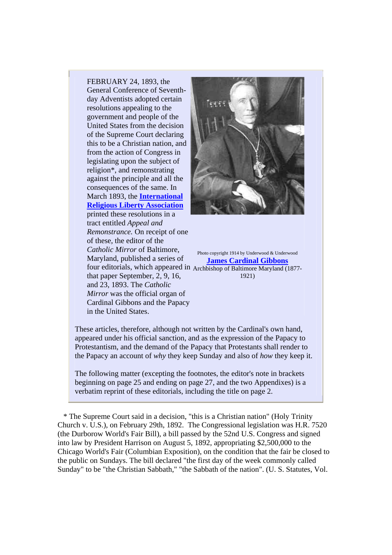FEBRUARY 24, 1893, the General Conference of Seventhday Adventists adopted certain resolutions appealing to the government and people of the United States from the decision of the Supreme Court declaring this to be a Christian nation, and from the action of Congress in legislating upon the subject of religion\*, and remonstrating against the principle and all the consequences of the same. In March 1893, the **International Religious Liberty Association** printed these resolutions in a tract entitled *Appeal and Remonstrance.* On receipt of one of these, the editor of the *Catholic Mirror* of Baltimore, Maryland, published a series of that paper September, 2, 9, 16, and 23, 1893. The *Catholic Mirror* was the official organ of Cardinal Gibbons and the Papacy in the United States.



four editorials, which appeared in Archbishop of Baltimore Maryland (1877- Photo copyright 1914 by Underwood & Underwood **James Cardinal Gibbons** 1921)

These articles, therefore, although not written by the Cardinal's own hand, appeared under his official sanction, and as the expression of the Papacy to Protestantism, and the demand of the Papacy that Protestants shall render to the Papacy an account of *why* they keep Sunday and also of *how* they keep it.

The following matter (excepting the footnotes, the editor's note in brackets beginning on page 25 and ending on page 27, and the two Appendixes) is a verbatim reprint of these editorials, including the title on page 2.

 \* The Supreme Court said in a decision, "this is a Christian nation" (Holy Trinity Church v. U.S.), on February 29th, 1892. The Congressional legislation was H.R. 7520 (the Durborow World's Fair Bill), a bill passed by the 52nd U.S. Congress and signed into law by President Harrison on August 5, 1892, appropriating \$2,500,000 to the Chicago World's Fair (Columbian Exposition), on the condition that the fair be closed to the public on Sundays. The bill declared "the first day of the week commonly called Sunday" to be "the Christian Sabbath," "the Sabbath of the nation". (U. S. Statutes, Vol.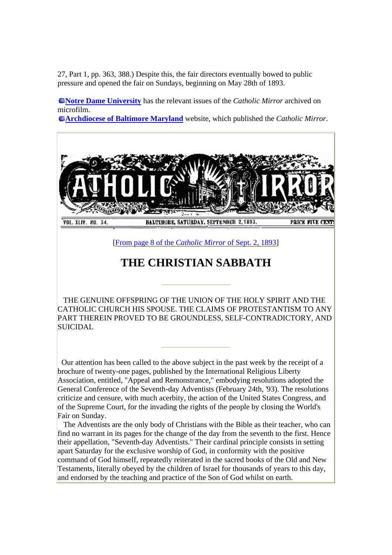27, Part 1, pp. 363, 388.) Despite this, the fair directors eventually bowed to public pressure and opened the fair on Sundays, beginning on May 28th of 1893.

**Notre Dame University** has the relevant issues of the *Catholic Mirror* archived on microfilm.

**Archdiocese of Baltimore Maryland** website, which published the *Catholic Mirror*.



[From page 8 of the *Catholic Mirror* of Sept. 2, 1893]

# **THE CHRISTIAN SABBATH**

 THE GENUINE OFFSPRING OF THE UNION OF THE HOLY SPIRIT AND THE CATHOLIC CHURCH HIS SPOUSE. THE CLAIMS OF PROTESTANTISM TO ANY PART THEREIN PROVED TO BE GROUNDLESS, SELF-CONTRADICTORY, AND SUICIDAL

 Our attention has been called to the above subject in the past week by the receipt of a brochure of twenty-one pages, published by the International Religious Liberty Association, entitled, "Appeal and Remonstrance," embodying resolutions adopted the General Conference of the Seventh-day Adventists (February 24th, '93). The resolutions criticize and censure, with much acerbity, the action of the United States Congress, and of the Supreme Court, for the invading the rights of the people by closing the World's Fair on Sunday.

 The Adventists are the only body of Christians with the Bible as their teacher, who can find no warrant in its pages for the change of the day from the seventh to the first. Hence their appellation, "Seventh-day Adventists." Their cardinal principle consists in setting apart Saturday for the exclusive worship of God, in conformity with the positive command of God himself, repeatedly reiterated in the sacred books of the Old and New Testaments, literally obeyed by the children of Israel for thousands of years to this day, and endorsed by the teaching and practice of the Son of God whilst on earth.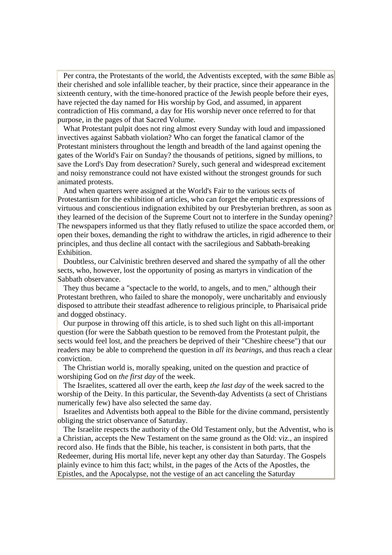Per contra, the Protestants of the world, the Adventists excepted, with the *same* Bible as their cherished and sole infallible teacher, by their practice, since their appearance in the sixteenth century, with the time-honored practice of the Jewish people before their eyes, have rejected the day named for His worship by God, and assumed, in apparent contradiction of His command, a day for His worship never once referred to for that purpose, in the pages of that Sacred Volume.

 What Protestant pulpit does not ring almost every Sunday with loud and impassioned invectives against Sabbath violation? Who can forget the fanatical clamor of the Protestant ministers throughout the length and breadth of the land against opening the gates of the World's Fair on Sunday? the thousands of petitions, signed by millions, to save the Lord's Day from desecration? Surely, such general and widespread excitement and noisy remonstrance could not have existed without the strongest grounds for such animated protests.

 And when quarters were assigned at the World's Fair to the various sects of Protestantism for the exhibition of articles, who can forget the emphatic expressions of virtuous and conscientious indignation exhibited by our Presbyterian brethren, as soon as they learned of the decision of the Supreme Court not to interfere in the Sunday opening? The newspapers informed us that they flatly refused to utilize the space accorded them, or open their boxes, demanding the right to withdraw the articles, in rigid adherence to their principles, and thus decline all contact with the sacrilegious and Sabbath-breaking **Exhibition** 

 Doubtless, our Calvinistic brethren deserved and shared the sympathy of all the other sects, who, however, lost the opportunity of posing as martyrs in vindication of the Sabbath observance.

 They thus became a "spectacle to the world, to angels, and to men," although their Protestant brethren, who failed to share the monopoly, were uncharitably and enviously disposed to attribute their steadfast adherence to religious principle, to Pharisaical pride and dogged obstinacy.

 Our purpose in throwing off this article, is to shed such light on this all-important question (for were the Sabbath question to be removed from the Protestant pulpit, the sects would feel lost, and the preachers be deprived of their "Cheshire cheese") that our readers may be able to comprehend the question in *all its bearings*, and thus reach a clear conviction.

 The Christian world is, morally speaking, united on the question and practice of worshiping God on *the first day* of the week.

 The Israelites, scattered all over the earth, keep *the last day* of the week sacred to the worship of the Deity. In this particular, the Seventh-day Adventists (a sect of Christians numerically few) have also selected the same day.

 Israelites and Adventists both appeal to the Bible for the divine command, persistently obliging the strict observance of Saturday.

 The Israelite respects the authority of the Old Testament only, but the Adventist, who is a Christian, accepts the New Testament on the same ground as the Old: viz., an inspired record also. He finds that the Bible, his teacher, is consistent in both parts, that the Redeemer, during His mortal life, never kept any other day than Saturday. The Gospels plainly evince to him this fact; whilst, in the pages of the Acts of the Apostles, the Epistles, and the Apocalypse, not the vestige of an act canceling the Saturday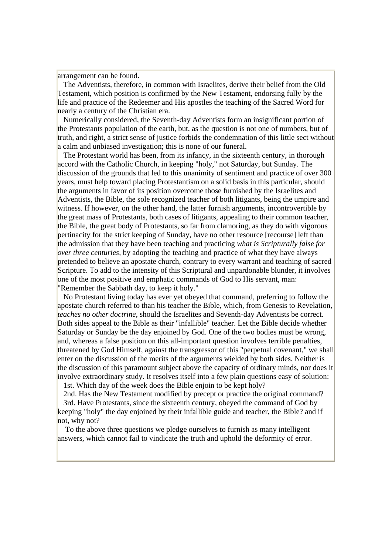arrangement can be found.

 The Adventists, therefore, in common with Israelites, derive their belief from the Old Testament, which position is confirmed by the New Testament, endorsing fully by the life and practice of the Redeemer and His apostles the teaching of the Sacred Word for nearly a century of the Christian era.

 Numerically considered, the Seventh-day Adventists form an insignificant portion of the Protestants population of the earth, but, as the question is not one of numbers, but of truth, and right, a strict sense of justice forbids the condemnation of this little sect without a calm and unbiased investigation; this is none of our funeral.

 The Protestant world has been, from its infancy, in the sixteenth century, in thorough accord with the Catholic Church, in keeping "holy," not Saturday, but Sunday. The discussion of the grounds that led to this unanimity of sentiment and practice of over 300 years, must help toward placing Protestantism on a solid basis in this particular, should the arguments in favor of its position overcome those furnished by the Israelites and Adventists, the Bible, the sole recognized teacher of both litigants, being the umpire and witness. If however, on the other hand, the latter furnish arguments, incontrovertible by the great mass of Protestants, both cases of litigants, appealing to their common teacher, the Bible, the great body of Protestants, so far from clamoring, as they do with vigorous pertinacity for the strict keeping of Sunday, have no other resource [recourse] left than the admission that they have been teaching and practicing *what is Scripturally false for over three centuries,* by adopting the teaching and practice of what they have always pretended to believe an apostate church, contrary to every warrant and teaching of sacred Scripture. To add to the intensity of this Scriptural and unpardonable blunder, it involves one of the most positive and emphatic commands of God to His servant, man: "Remember the Sabbath day, to keep it holy."

 No Protestant living today has ever yet obeyed that command, preferring to follow the apostate church referred to than his teacher the Bible, which, from Genesis to Revelation, *teaches no other doctrine*, should the Israelites and Seventh-day Adventists be correct. Both sides appeal to the Bible as their "infallible" teacher. Let the Bible decide whether Saturday or Sunday be the day enjoined by God. One of the two bodies must be wrong, and, whereas a false position on this all-important question involves terrible penalties, threatened by God Himself, against the transgressor of this "perpetual covenant," we shall enter on the discussion of the merits of the arguments wielded by both sides. Neither is the discussion of this paramount subject above the capacity of ordinary minds, nor does it involve extraordinary study. It resolves itself into a few plain questions easy of solution:

1st. Which day of the week does the Bible enjoin to be kept holy?

 2nd. Has the New Testament modified by precept or practice the original command? 3rd. Have Protestants, since the sixteenth century, obeyed the command of God by keeping "holy" the day enjoined by their infallible guide and teacher, the Bible? and if not, why not?

 To the above three questions we pledge ourselves to furnish as many intelligent answers, which cannot fail to vindicate the truth and uphold the deformity of error.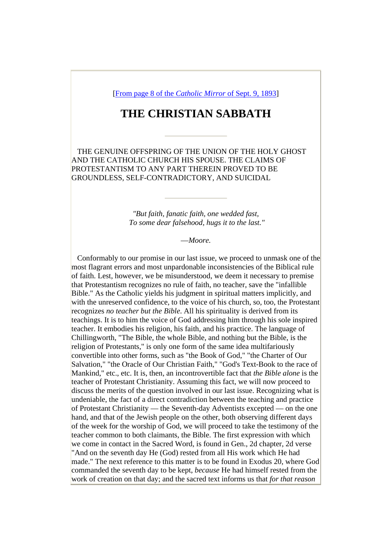[From page 8 of the *Catholic Mirror* of Sept. 9, 1893]

### **THE CHRISTIAN SABBATH**

 THE GENUINE OFFSPRING OF THE UNION OF THE HOLY GHOST AND THE CATHOLIC CHURCH HIS SPOUSE. THE CLAIMS OF PROTESTANTISM TO ANY PART THEREIN PROVED TO BE GROUNDLESS, SELF-CONTRADICTORY, AND SUICIDAL

> *"But faith, fanatic faith, one wedded fast, To some dear falsehood, hugs it to the last."*

> > —*Moore.*

 Conformably to our promise in our last issue, we proceed to unmask one of the most flagrant errors and most unpardonable inconsistencies of the Biblical rule of faith. Lest, however, we be misunderstood, we deem it necessary to premise that Protestantism recognizes no rule of faith, no teacher, save the "infallible Bible." As the Catholic yields his judgment in spiritual matters implicitly, and with the unreserved confidence, to the voice of his church, so, too, the Protestant recognizes *no teacher but the Bible*. All his spirituality is derived from its teachings. It is to him the voice of God addressing him through his sole inspired teacher. It embodies his religion, his faith, and his practice. The language of Chillingworth, "The Bible, the whole Bible, and nothing but the Bible, is the religion of Protestants," is only one form of the same idea multifariously convertible into other forms, such as "the Book of God," "the Charter of Our Salvation," "the Oracle of Our Christian Faith," "God's Text-Book to the race of Mankind," etc., etc. It is, then, an incontrovertible fact that *the Bible alone* is the teacher of Protestant Christianity. Assuming this fact, we will now proceed to discuss the merits of the question involved in our last issue. Recognizing what is undeniable, the fact of a direct contradiction between the teaching and practice of Protestant Christianity — the Seventh-day Adventists excepted — on the one hand, and that of the Jewish people on the other, both observing different days of the week for the worship of God, we will proceed to take the testimony of the teacher common to both claimants, the Bible. The first expression with which we come in contact in the Sacred Word, is found in Gen., 2d chapter, 2d verse "And on the seventh day He (God) rested from all His work which He had made." The next reference to this matter is to be found in Exodus 20, where God commanded the seventh day to be kept, *because* He had himself rested from the work of creation on that day; and the sacred text informs us that *for that reason*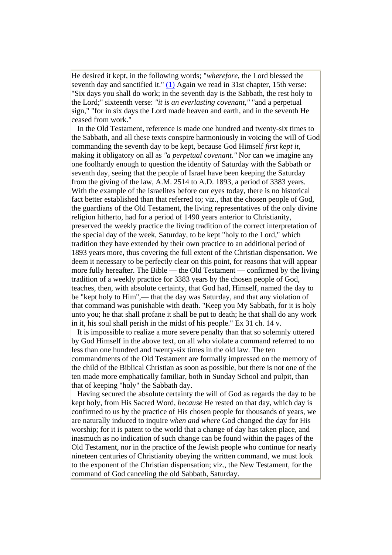He desired it kept, in the following words; "*wherefore*, the Lord blessed the seventh day and sanctified it." (1) Again we read in 31st chapter, 15th verse: "Six days you shall do work; in the seventh day is the Sabbath, the rest holy to the Lord;" sixteenth verse: *"it is an everlasting covenant,"* "and a perpetual sign," "for in six days the Lord made heaven and earth, and in the seventh He ceased from work."

 In the Old Testament, reference is made one hundred and twenty-six times to the Sabbath, and all these texts conspire harmoniously in voicing the will of God commanding the seventh day to be kept, because God Himself *first kept it,* making it obligatory on all as *"a perpetual covenant."* Nor can we imagine any one foolhardy enough to question the identity of Saturday with the Sabbath or seventh day, seeing that the people of Israel have been keeping the Saturday from the giving of the law, A.M. 2514 to A.D. 1893, a period of 3383 years. With the example of the Israelites before our eyes today, there is no historical fact better established than that referred to: viz., that the chosen people of God. the guardians of the Old Testament, the living representatives of the only divine religion hitherto, had for a period of 1490 years anterior to Christianity, preserved the weekly practice the living tradition of the correct interpretation of the special day of the week, Saturday, to be kept "holy to the Lord," which tradition they have extended by their own practice to an additional period of 1893 years more, thus covering the full extent of the Christian dispensation. We deem it necessary to be perfectly clear on this point, for reasons that will appear more fully hereafter. The Bible — the Old Testament — confirmed by the living tradition of a weekly practice for 3383 years by the chosen people of God, teaches, then, with absolute certainty, that God had, Himself, named the day to be "kept holy to Him",— that the day was Saturday, and that any violation of that command was punishable with death. "Keep you My Sabbath, for it is holy unto you; he that shall profane it shall be put to death; he that shall do any work in it, his soul shall perish in the midst of his people." Ex 31 ch. 14 v.

 It is impossible to realize a more severe penalty than that so solemnly uttered by God Himself in the above text, on all who violate a command referred to no less than one hundred and twenty-six times in the old law. The ten commandments of the Old Testament are formally impressed on the memory of the child of the Biblical Christian as soon as possible, but there is not one of the ten made more emphatically familiar, both in Sunday School and pulpit, than that of keeping "holy" the Sabbath day.

 Having secured the absolute certainty the will of God as regards the day to be kept holy, from His Sacred Word, *because* He rested on that day, which day is confirmed to us by the practice of His chosen people for thousands of years, we are naturally induced to inquire *when and where* God changed the day for His worship; for it is patent to the world that a change of day has taken place, and inasmuch as no indication of such change can be found within the pages of the Old Testament, nor in the practice of the Jewish people who continue for nearly nineteen centuries of Christianity obeying the written command, we must look to the exponent of the Christian dispensation; viz., the New Testament, for the command of God canceling the old Sabbath, Saturday.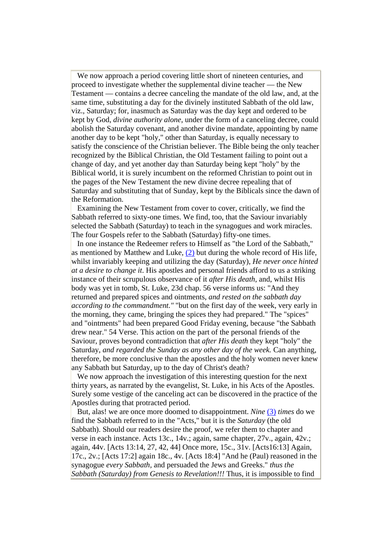We now approach a period covering little short of nineteen centuries, and proceed to investigate whether the supplemental divine teacher — the New Testament — contains a decree canceling the mandate of the old law, and, at the same time, substituting a day for the divinely instituted Sabbath of the old law, viz., Saturday; for, inasmuch as Saturday was the day kept and ordered to be kept by God, *divine authority alone*, under the form of a canceling decree, could abolish the Saturday covenant, and another divine mandate, appointing by name another day to be kept "holy," other than Saturday, is equally necessary to satisfy the conscience of the Christian believer. The Bible being the only teacher recognized by the Biblical Christian, the Old Testament failing to point out a change of day, and yet another day than Saturday being kept "holy" by the Biblical world, it is surely incumbent on the reformed Christian to point out in the pages of the New Testament the new divine decree repealing that of Saturday and substituting that of Sunday, kept by the Biblicals since the dawn of the Reformation.

 Examining the New Testament from cover to cover, critically, we find the Sabbath referred to sixty-one times. We find, too, that the Saviour invariably selected the Sabbath (Saturday) to teach in the synagogues and work miracles. The four Gospels refer to the Sabbath (Saturday) fifty-one times.

 In one instance the Redeemer refers to Himself as "the Lord of the Sabbath," as mentioned by Matthew and Luke, (2) but during the whole record of His life, whilst invariably keeping and utilizing the day (Saturday), *He never once hinted at a desire to change it*. His apostles and personal friends afford to us a striking instance of their scrupulous observance of it *after His death*, and, whilst His body was yet in tomb, St. Luke, 23d chap. 56 verse informs us: "And they returned and prepared spices and ointments, *and rested on the sabbath day according to the commandment."* "but on the first day of the week, very early in the morning, they came, bringing the spices they had prepared." The "spices" and "ointments" had been prepared Good Friday evening, because "the Sabbath drew near." 54 Verse. This action on the part of the personal friends of the Saviour, proves beyond contradiction that *after His death* they kept "holy" the Saturday, *and regarded the Sunday as any other day of the week.* Can anything, therefore, be more conclusive than the apostles and the holy women never knew any Sabbath but Saturday, up to the day of Christ's death?

 We now approach the investigation of this interesting question for the next thirty years, as narrated by the evangelist, St. Luke, in his Acts of the Apostles. Surely some vestige of the canceling act can be discovered in the practice of the Apostles during that protracted period.

 But, alas! we are once more doomed to disappointment. *Nine* (3) *times* do we find the Sabbath referred to in the "Acts," but it is the *Saturday* (the old Sabbath). Should our readers desire the proof, we refer them to chapter and verse in each instance. Acts 13c., 14v.; again, same chapter, 27v., again, 42v.; again, 44v. [Acts 13:14, 27, 42, 44] Once more, 15c., 31v. [Acts16:13] Again, 17c., 2v.; [Acts 17:2] again 18c., 4v. [Acts 18:4] "And he (Paul) reasoned in the synagogue *every Sabbath,* and persuaded the Jews and Greeks." *thus the Sabbath (Saturday) from Genesis to Revelation!!!* Thus, it is impossible to find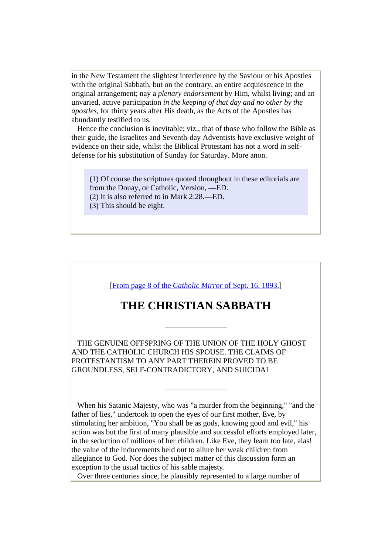in the New Testament the slightest interference by the Saviour or his Apostles with the original Sabbath, but on the contrary, an entire acquiescence in the original arrangement; nay a *plenary endorsement* by Him, whilst living; and an unvaried, active participation *in the keeping of that day and no other by the apostles,* for thirty years after His death, as the Acts of the Apostles has abundantly testified to us.

 Hence the conclusion is inevitable; viz., that of those who follow the Bible as their guide, the Israelites and Seventh-day Adventists have exclusive weight of evidence on their side, whilst the Biblical Protestant has not a word in selfdefense for his substitution of Sunday for Saturday. More anon.

(1) Of course the scriptures quoted throughout in these editorials are from the Douay, or Catholic, Version, —ED. (2) It is also referred to in Mark 2:28.—ED. (3) This should be eight.

[From page 8 of the *Catholic Mirror* of Sept. 16, 1893.]

# **THE CHRISTIAN SABBATH**

 THE GENUINE OFFSPRING OF THE UNION OF THE HOLY GHOST AND THE CATHOLIC CHURCH HIS SPOUSE. THE CLAIMS OF PROTESTANTISM TO ANY PART THEREIN PROVED TO BE GROUNDLESS, SELF-CONTRADICTORY, AND SUICIDAL

 When his Satanic Majesty, who was "a murder from the beginning," "and the father of lies," undertook to open the eyes of our first mother, Eve, by stimulating her ambition, "You shall be as gods, knowing good and evil," his action was but the first of many plausible and successful efforts employed later, in the seduction of millions of her children. Like Eve, they learn too late, alas! the value of the inducements held out to allure her weak children from allegiance to God. Nor does the subject matter of this discussion form an exception to the usual tactics of his sable majesty.

Over three centuries since, he plausibly represented to a large number of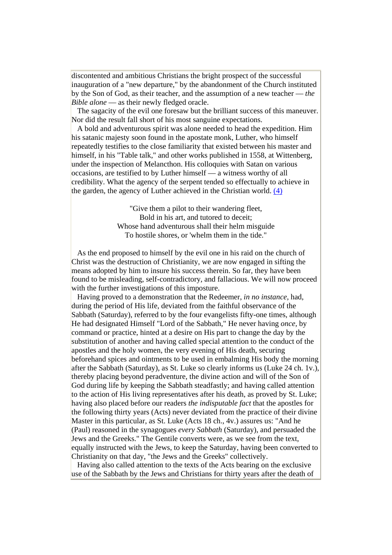discontented and ambitious Christians the bright prospect of the successful inauguration of a "new departure," by the abandonment of the Church instituted by the Son of God, as their teacher, and the assumption of a new teacher — *the Bible alone* — as their newly fledged oracle.

 The sagacity of the evil one foresaw but the brilliant success of this maneuver. Nor did the result fall short of his most sanguine expectations.

 A bold and adventurous spirit was alone needed to head the expedition. Him his satanic majesty soon found in the apostate monk, Luther, who himself repeatedly testifies to the close familiarity that existed between his master and himself, in his "Table talk," and other works published in 1558, at Wittenberg. under the inspection of Melancthon. His colloquies with Satan on various occasions, are testified to by Luther himself — a witness worthy of all credibility. What the agency of the serpent tended so effectually to achieve in the garden, the agency of Luther achieved in the Christian world. (4)

> "Give them a pilot to their wandering fleet, Bold in his art, and tutored to deceit; Whose hand adventurous shall their helm misguide To hostile shores, or 'whelm them in the tide."

 As the end proposed to himself by the evil one in his raid on the church of Christ was the destruction of Christianity, we are now engaged in sifting the means adopted by him to insure his success therein. So far, they have been found to be misleading, self-contradictory, and fallacious. We will now proceed with the further investigations of this imposture.

 Having proved to a demonstration that the Redeemer, *in no instance,* had, during the period of His life, deviated from the faithful observance of the Sabbath (Saturday), referred to by the four evangelists fifty-one times, although He had designated Himself "Lord of the Sabbath," He never having *once,* by command or practice, hinted at a desire on His part to change the day by the substitution of another and having called special attention to the conduct of the apostles and the holy women, the very evening of His death, securing beforehand spices and ointments to be used in embalming His body the morning after the Sabbath (Saturday), as St. Luke so clearly informs us (Luke 24 ch. 1v.), thereby placing beyond peradventure, the divine action and will of the Son of God during life by keeping the Sabbath steadfastly; and having called attention to the action of His living representatives after his death, as proved by St. Luke; having also placed before our readers *the indisputable fact* that the apostles for the following thirty years (Acts) never deviated from the practice of their divine Master in this particular, as St. Luke (Acts 18 ch., 4v.) assures us: "And he (Paul) reasoned in the synagogues *every Sabbath* (Saturday), and persuaded the Jews and the Greeks." The Gentile converts were, as we see from the text, equally instructed with the Jews, to keep the Saturday, having been converted to Christianity on that day, "the Jews and the Greeks" collectively.

 Having also called attention to the texts of the Acts bearing on the exclusive use of the Sabbath by the Jews and Christians for thirty years after the death of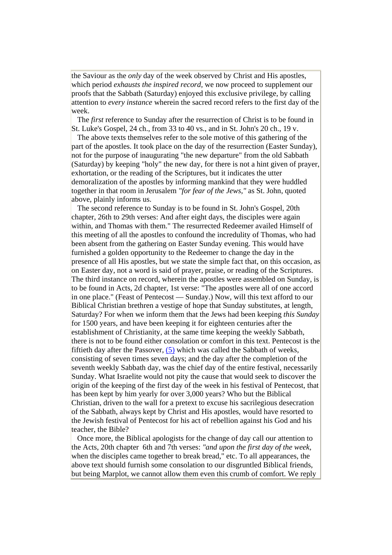the Saviour as the *only* day of the week observed by Christ and His apostles, which period *exhausts the inspired record,* we now proceed to supplement our proofs that the Sabbath (Saturday) enjoyed this exclusive privilege, by calling attention to *every instance* wherein the sacred record refers to the first day of the week.

 The *first* reference to Sunday after the resurrection of Christ is to be found in St. Luke's Gospel, 24 ch., from 33 to 40 vs., and in St. John's 20 ch., 19 v.

 The above texts themselves refer to the sole motive of this gathering of the part of the apostles. It took place on the day of the resurrection (Easter Sunday), not for the purpose of inaugurating "the new departure" from the old Sabbath (Saturday) by keeping "holy" the new day, for there is not a hint given of prayer, exhortation, or the reading of the Scriptures, but it indicates the utter demoralization of the apostles by informing mankind that they were huddled together in that room in Jerusalem *"for fear of the Jews,"* as St. John, quoted above, plainly informs us.

 The second reference to Sunday is to be found in St. John's Gospel, 20th chapter, 26th to 29th verses: And after eight days, the disciples were again within, and Thomas with them." The resurrected Redeemer availed Himself of this meeting of all the apostles to confound the incredulity of Thomas, who had been absent from the gathering on Easter Sunday evening. This would have furnished a golden opportunity to the Redeemer to change the day in the presence of all His apostles, but we state the simple fact that, on this occasion, as on Easter day, not a word is said of prayer, praise, or reading of the Scriptures. The third instance on record, wherein the apostles were assembled on Sunday, is to be found in Acts, 2d chapter, 1st verse: "The apostles were all of one accord in one place." (Feast of Pentecost — Sunday.) Now, will this text afford to our Biblical Christian brethren a vestige of hope that Sunday substitutes, at length, Saturday? For when we inform them that the Jews had been keeping *this Sunday* for 1500 years, and have been keeping it for eighteen centuries after the establishment of Christianity, at the same time keeping the weekly Sabbath, there is not to be found either consolation or comfort in this text. Pentecost is the fiftieth day after the Passover, (5) which was called the Sabbath of weeks, consisting of seven times seven days; and the day after the completion of the seventh weekly Sabbath day, was the chief day of the entire festival, necessarily Sunday. What Israelite would not pity the cause that would seek to discover the origin of the keeping of the first day of the week in his festival of Pentecost, that has been kept by him yearly for over 3,000 years? Who but the Biblical Christian, driven to the wall for a pretext to excuse his sacrilegious desecration of the Sabbath, always kept by Christ and His apostles, would have resorted to the Jewish festival of Pentecost for his act of rebellion against his God and his teacher, the Bible?

 Once more, the Biblical apologists for the change of day call our attention to the Acts, 20th chapter 6th and 7th verses: *"and upon the first day of the week,* when the disciples came together to break bread," etc. To all appearances, the above text should furnish some consolation to our disgruntled Biblical friends, but being Marplot, we cannot allow them even this crumb of comfort. We reply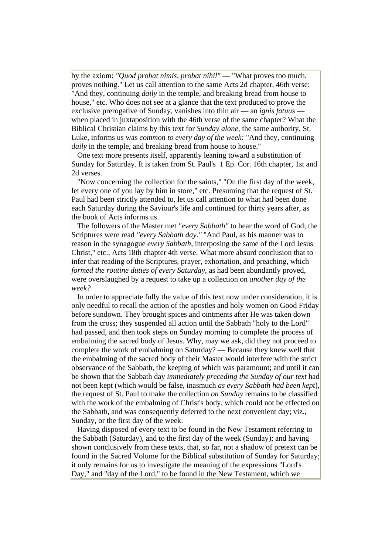by the axiom: *"Quod probat nimis, probat nihil"* — "What proves too much, proves nothing." Let us call attention to the same Acts 2d chapter, 46th verse: "And they, continuing *daily* in the temple, and breaking bread from house to house," etc. Who does not see at a glance that the text produced to prove the exclusive prerogative of Sunday, vanishes into thin air — an *ignis fatuus* when placed in juxtaposition with the 46th verse of the same chapter? What the Biblical Christian claims by this text for *Sunday alone,* the same authority, St. Luke, informs us was *common to every day of the week:* "And they, continuing *daily* in the temple, and breaking bread from house to house."

 One text more presents itself, apparently leaning toward a substitution of Sunday for Saturday. It is taken from St. Paul's 1 Ep. Cor. 16th chapter, 1st and 2d verses.

 "Now concerning the collection for the saints," "On the first day of the week, let every one of you lay by him in store," etc. Presuming that the request of St. Paul had been strictly attended to, let us call attention to what had been done each Saturday during the Saviour's life and continued for thirty years after, as the book of Acts informs us.

 The followers of the Master met *"every Sabbath"* to hear the word of God; the Scriptures were read *"every Sabbath day."* "And Paul, as his manner was to reason in the synagogue *every Sabbath*, interposing the same of the Lord Jesus Christ," etc., Acts 18th chapter 4th verse. What more absurd conclusion that to infer that reading of the Scriptures, prayer, exhortation, and preaching, which *formed the routine duties of every Saturday,* as had been abundantly proved, were overslaughed by a request to take up a collection on *another day of the week?* 

In order to appreciate fully the value of this text now under consideration, it is only needful to recall the action of the apostles and holy women on Good Friday before sundown. They brought spices and ointments after He was taken down from the cross; they suspended all action until the Sabbath "holy to the Lord" had passed, and then took steps on Sunday morning to complete the process of embalming the sacred body of Jesus. Why, may we ask, did they not proceed to complete the work of embalming on Saturday? — Because they knew well that the embalming of the sacred body of their Master would interfere with the strict observance of the Sabbath, the keeping of which was paramount; and until it can be shown that the Sabbath day *immediately preceding the Sunday of our text* had not been kept (which would be false, inasmuch *as every Sabbath had been kept*), the request of St. Paul to make the collection *on Sunday* remains to be classified with the work of the embalming of Christ's body, which could not be effected on the Sabbath, and was consequently deferred to the next convenient day; viz., Sunday, or the first day of the week.

 Having disposed of every text to be found in the New Testament referring to the Sabbath (Saturday), and to the first day of the week (Sunday); and having shown conclusively from these texts, that, so far, not a shadow of pretext can be found in the Sacred Volume for the Biblical substitution of Sunday for Saturday; it only remains for us to investigate the meaning of the expressions "Lord's Day," and "day of the Lord," to be found in the New Testament, which we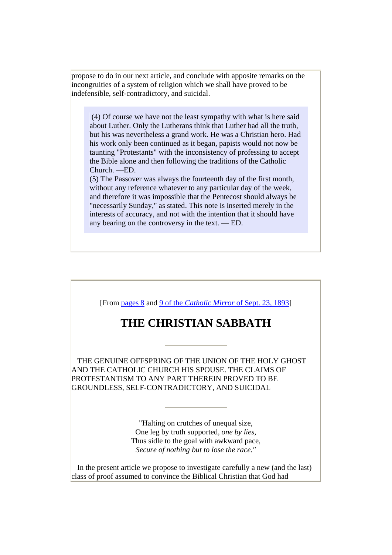propose to do in our next article, and conclude with apposite remarks on the incongruities of a system of religion which we shall have proved to be indefensible, self-contradictory, and suicidal.

 (4) Of course we have not the least sympathy with what is here said about Luther. Only the Lutherans think that Luther had all the truth, but his was nevertheless a grand work. He was a Christian hero. Had his work only been continued as it began, papists would not now be taunting "Protestants" with the inconsistency of professing to accept the Bible alone and then following the traditions of the Catholic Church. —ED.

(5) The Passover was always the fourteenth day of the first month, without any reference whatever to any particular day of the week, and therefore it was impossible that the Pentecost should always be "necessarily Sunday," as stated. This note is inserted merely in the interests of accuracy, and not with the intention that it should have any bearing on the controversy in the text. — ED.

[From pages 8 and 9 of the *Catholic Mirror* of Sept. 23, 1893]

# **THE CHRISTIAN SABBATH**

 THE GENUINE OFFSPRING OF THE UNION OF THE HOLY GHOST AND THE CATHOLIC CHURCH HIS SPOUSE. THE CLAIMS OF PROTESTANTISM TO ANY PART THEREIN PROVED TO BE GROUNDLESS, SELF-CONTRADICTORY, AND SUICIDAL

> "Halting on crutches of unequal size, One leg by truth supported, *one by lies,* Thus sidle to the goal with awkward pace, *Secure of nothing but to lose the race."*

 In the present article we propose to investigate carefully a new (and the last) class of proof assumed to convince the Biblical Christian that God had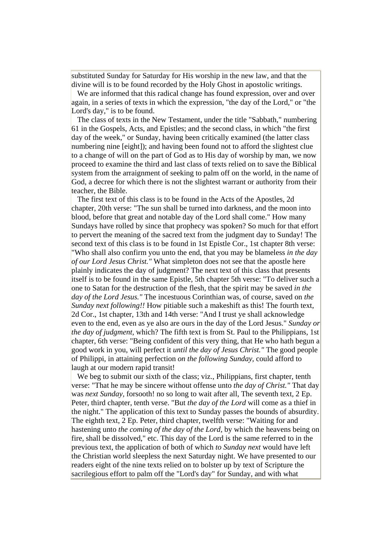substituted Sunday for Saturday for His worship in the new law, and that the divine will is to be found recorded by the Holy Ghost in apostolic writings.

 We are informed that this radical change has found expression, over and over again, in a series of texts in which the expression, "the day of the Lord," or "the Lord's day," is to be found.

 The class of texts in the New Testament, under the title "Sabbath," numbering 61 in the Gospels, Acts, and Epistles; and the second class, in which "the first day of the week," or Sunday, having been critically examined (the latter class numbering nine [eight]); and having been found not to afford the slightest clue to a change of will on the part of God as to His day of worship by man, we now proceed to examine the third and last class of texts relied on to save the Biblical system from the arraignment of seeking to palm off on the world, in the name of God, a decree for which there is not the slightest warrant or authority from their teacher, the Bible.

 The first text of this class is to be found in the Acts of the Apostles, 2d chapter, 20th verse: "The sun shall be turned into darkness, and the moon into blood, before that great and notable day of the Lord shall come." How many Sundays have rolled by since that prophecy was spoken? So much for that effort to pervert the meaning of the sacred text from the judgment day to Sunday! The second text of this class is to be found in 1st Epistle Cor., 1st chapter 8th verse: "Who shall also confirm you unto the end, that you may be blameless *in the day of our Lord Jesus Christ."* What simpleton does not see that the apostle here plainly indicates the day of judgment? The next text of this class that presents itself is to be found in the same Epistle, 5th chapter 5th verse: "To deliver such a one to Satan for the destruction of the flesh, that the spirit may be saved *in the day of the Lord Jesus."* The incestuous Corinthian was, of course, saved on *the Sunday next following!!* How pitiable such a makeshift as this! The fourth text, 2d Cor., 1st chapter, 13th and 14th verse: "And I trust ye shall acknowledge even to the end, even as ye also are ours in the day of the Lord Jesus." *Sunday or the day of judgment,* which? The fifth text is from St. Paul to the Philippians, 1st chapter, 6th verse: "Being confident of this very thing, that He who hath begun a good work in you, will perfect it *until the day of Jesus Christ."* The good people of Philippi, in attaining perfection *on the following Sunday,* could afford to laugh at our modern rapid transit!

We beg to submit our sixth of the class; viz., Philippians, first chapter, tenth verse: "That he may be sincere without offense unto *the day of Christ."* That day was *next Sunday,* forsooth! no so long to wait after all, The seventh text, 2 Ep. Peter, third chapter, tenth verse. "But *the day of the Lord* will come as a thief in the night." The application of this text to Sunday passes the bounds of absurdity. The eighth text, 2 Ep. Peter, third chapter, twelfth verse: "Waiting for and hastening unto *the coming of the day of the Lord,* by which the heavens being on fire, shall be dissolved," etc. This day of the Lord is the same referred to in the previous text, the application of both of which *to Sunday next* would have left the Christian world sleepless the next Saturday night. We have presented to our readers eight of the nine texts relied on to bolster up by text of Scripture the sacrilegious effort to palm off the "Lord's day" for Sunday, and with what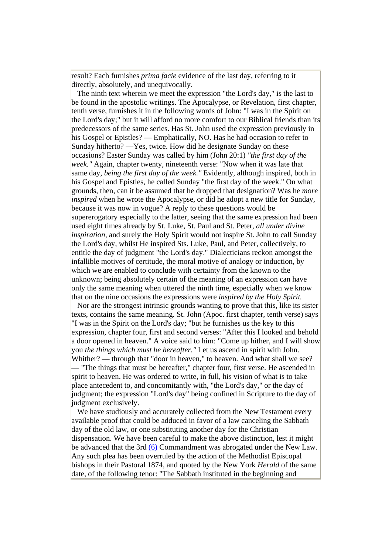result? Each furnishes *prima facie* evidence of the last day, referring to it directly, absolutely, and unequivocally.

 The ninth text wherein we meet the expression "the Lord's day," is the last to be found in the apostolic writings. The Apocalypse, or Revelation, first chapter, tenth verse, furnishes it in the following words of John: "I was in the Spirit on the Lord's day;" but it will afford no more comfort to our Biblical friends than its predecessors of the same series. Has St. John used the expression previously in his Gospel or Epistles? — Emphatically, NO. Has he had occasion to refer to Sunday hitherto? —Yes, twice. How did he designate Sunday on these occasions? Easter Sunday was called by him (John 20:1) *"the first day of the week."* Again, chapter twenty, nineteenth verse: "Now when it was late that same day, *being the first day of the week."* Evidently, although inspired, both in his Gospel and Epistles, he called Sunday "the first day of the week." On what grounds, then, can it be assumed that he dropped that designation? Was he *more inspired* when he wrote the Apocalypse, or did he adopt a new title for Sunday. because it was now in vogue? A reply to these questions would be supererogatory especially to the latter, seeing that the same expression had been used eight times already by St. Luke, St. Paul and St. Peter, *all under divine inspiration,* and surely the Holy Spirit would not inspire St. John to call Sunday the Lord's day, whilst He inspired Sts. Luke, Paul, and Peter, collectively, to entitle the day of judgment "the Lord's day." Dialecticians reckon amongst the infallible motives of certitude, the moral motive of analogy or induction, by which we are enabled to conclude with certainty from the known to the unknown; being absolutely certain of the meaning of an expression can have only the same meaning when uttered the ninth time, especially when we know that on the nine occasions the expressions were *inspired by the Holy Spirit.* 

Nor are the strongest intrinsic grounds wanting to prove that this, like its sister texts, contains the same meaning. St. John (Apoc. first chapter, tenth verse) says "I was in the Spirit on the Lord's day; "but he furnishes us the key to this expression, chapter four, first and second verses: "After this I looked and behold a door opened in heaven." A voice said to him: "Come up hither, and I will show you *the things which must be hereafter."* Let us ascend in spirit with John. Whither? — through that "door in heaven," to heaven. And what shall we see? "The things that must be hereafter," chapter four, first verse. He ascended in spirit to heaven. He was ordered to write, in full, his vision of what is to take place antecedent to, and concomitantly with, "the Lord's day," or the day of judgment; the expression "Lord's day" being confined in Scripture to the day of iudgment exclusively.

 We have studiously and accurately collected from the New Testament every available proof that could be adduced in favor of a law canceling the Sabbath day of the old law, or one substituting another day for the Christian dispensation. We have been careful to make the above distinction, lest it might be advanced that the 3rd (6) Commandment was abrogated under the New Law. Any such plea has been overruled by the action of the Methodist Episcopal bishops in their Pastoral 1874, and quoted by the New York *Herald* of the same date, of the following tenor: "The Sabbath instituted in the beginning and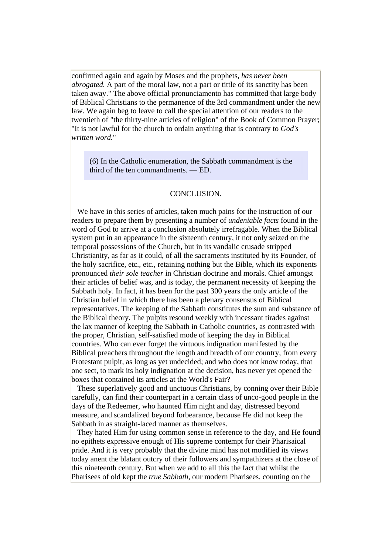confirmed again and again by Moses and the prophets, *has never been abrogated.* A part of the moral law, not a part or tittle of its sanctity has been taken away." The above official pronunciamento has committed that large body of Biblical Christians to the permanence of the 3rd commandment under the new law. We again beg to leave to call the special attention of our readers to the twentieth of "the thirty-nine articles of religion" of the Book of Common Prayer; "It is not lawful for the church to ordain anything that is contrary to *God's written word.*"

(6) In the Catholic enumeration, the Sabbath commandment is the third of the ten commandments. — ED.

#### CONCLUSION.

 We have in this series of articles, taken much pains for the instruction of our readers to prepare them by presenting a number of *undeniable facts* found in the word of God to arrive at a conclusion absolutely irrefragable. When the Biblical system put in an appearance in the sixteenth century, it not only seized on the temporal possessions of the Church, but in its vandalic crusade stripped Christianity, as far as it could, of all the sacraments instituted by its Founder, of the holy sacrifice, etc., etc., retaining nothing but the Bible, which its exponents pronounced *their sole teacher* in Christian doctrine and morals. Chief amongst their articles of belief was, and is today, the permanent necessity of keeping the Sabbath holy. In fact, it has been for the past 300 years the only article of the Christian belief in which there has been a plenary consensus of Biblical representatives. The keeping of the Sabbath constitutes the sum and substance of the Biblical theory. The pulpits resound weekly with incessant tirades against the lax manner of keeping the Sabbath in Catholic countries, as contrasted with the proper, Christian, self-satisfied mode of keeping the day in Biblical countries. Who can ever forget the virtuous indignation manifested by the Biblical preachers throughout the length and breadth of our country, from every Protestant pulpit, as long as yet undecided; and who does not know today, that one sect, to mark its holy indignation at the decision, has never yet opened the boxes that contained its articles at the World's Fair?

 These superlatively good and unctuous Christians, by conning over their Bible carefully, can find their counterpart in a certain class of unco-good people in the days of the Redeemer, who haunted Him night and day, distressed beyond measure, and scandalized beyond forbearance, because He did not keep the Sabbath in as straight-laced manner as themselves.

 They hated Him for using common sense in reference to the day, and He found no epithets expressive enough of His supreme contempt for their Pharisaical pride. And it is very probably that the divine mind has not modified its views today anent the blatant outcry of their followers and sympathizers at the close of this nineteenth century. But when we add to all this the fact that whilst the Pharisees of old kept the *true Sabbath,* our modern Pharisees, counting on the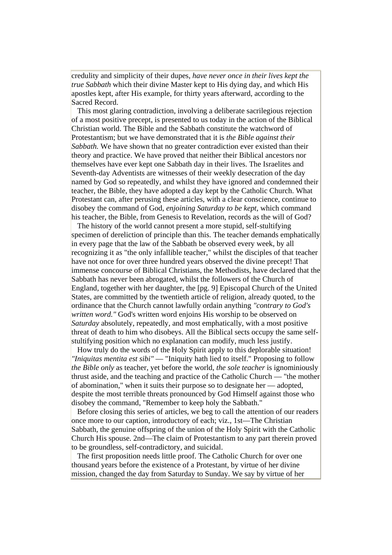credulity and simplicity of their dupes, *have never once in their lives kept the true Sabbath* which their divine Master kept to His dying day, and which His apostles kept, after His example, for thirty years afterward, according to the Sacred Record.

 This most glaring contradiction, involving a deliberate sacrilegious rejection of a most positive precept, is presented to us today in the action of the Biblical Christian world. The Bible and the Sabbath constitute the watchword of Protestantism; but we have demonstrated that it is *the Bible against their Sabbath.* We have shown that no greater contradiction ever existed than their theory and practice. We have proved that neither their Biblical ancestors nor themselves have ever kept one Sabbath day in their lives. The Israelites and Seventh-day Adventists are witnesses of their weekly desecration of the day named by God so repeatedly, and whilst they have ignored and condemned their teacher, the Bible, they have adopted a day kept by the Catholic Church. What Protestant can, after perusing these articles, with a clear conscience, continue to disobey the command of God, *enjoining Saturday to be kept,* which command his teacher, the Bible, from Genesis to Revelation, records as the will of God?

 The history of the world cannot present a more stupid, self-stultifying specimen of dereliction of principle than this. The teacher demands emphatically in every page that the law of the Sabbath be observed every week, by all recognizing it as "the only infallible teacher," whilst the disciples of that teacher have not once for over three hundred years observed the divine precept! That immense concourse of Biblical Christians, the Methodists, have declared that the Sabbath has never been abrogated, whilst the followers of the Church of England, together with her daughter, the [pg. 9] Episcopal Church of the United States, are committed by the twentieth article of religion, already quoted, to the ordinance that the Church cannot lawfully ordain anything *"contrary to God's written word."* God's written word enjoins His worship to be observed on *Saturday* absolutely, repeatedly, and most emphatically, with a most positive threat of death to him who disobeys. All the Biblical sects occupy the same selfstultifying position which no explanation can modify, much less justify.

 How truly do the words of the Holy Spirit apply to this deplorable situation! *"Iniquitas mentita est sibi"* — "Iniquity hath lied to itself." Proposing to follow *the Bible only* as teacher, yet before the world, *the sole teacher* is ignominiously thrust aside, and the teaching and practice of the Catholic Church — "the mother of abomination," when it suits their purpose so to designate her — adopted, despite the most terrible threats pronounced by God Himself against those who disobey the command, "Remember to keep holy the Sabbath."

 Before closing this series of articles, we beg to call the attention of our readers once more to our caption, introductory of each; viz., 1st—The Christian Sabbath, the genuine offspring of the union of the Holy Spirit with the Catholic Church His spouse. 2nd—The claim of Protestantism to any part therein proved to be groundless, self-contradictory, and suicidal.

 The first proposition needs little proof. The Catholic Church for over one thousand years before the existence of a Protestant, by virtue of her divine mission, changed the day from Saturday to Sunday. We say by virtue of her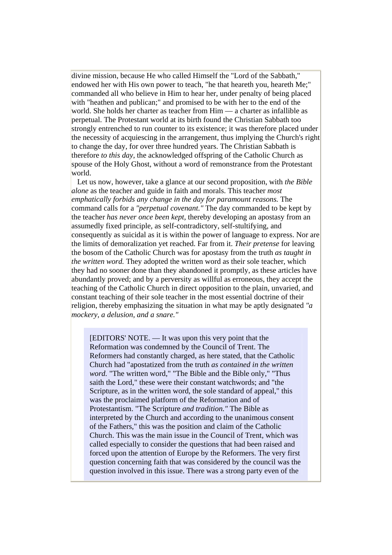divine mission, because He who called Himself the "Lord of the Sabbath," endowed her with His own power to teach, "he that heareth you, heareth Me;" commanded all who believe in Him to hear her, under penalty of being placed with "heathen and publican;" and promised to be with her to the end of the world. She holds her charter as teacher from Him — a charter as infallible as perpetual. The Protestant world at its birth found the Christian Sabbath too strongly entrenched to run counter to its existence; it was therefore placed under the necessity of acquiescing in the arrangement, thus implying the Church's right to change the day, for over three hundred years. The Christian Sabbath is therefore *to this day,* the acknowledged offspring of the Catholic Church as spouse of the Holy Ghost, without a word of remonstrance from the Protestant world.

 Let us now, however, take a glance at our second proposition, with *the Bible alone* as the teacher and guide in faith and morals. This teacher *most emphatically forbids any change in the day for paramount reasons.* The command calls for a *"perpetual covenant."* The day commanded to be kept by the teacher *has never once been kept,* thereby developing an apostasy from an assumedly fixed principle, as self-contradictory, self-stultifying, and consequently as suicidal as it is within the power of language to express. Nor are the limits of demoralization yet reached. Far from it. *Their pretense* for leaving the bosom of the Catholic Church was for apostasy from the truth *as taught in the written word.* They adopted the written word as their sole teacher, which they had no sooner done than they abandoned it promptly, as these articles have abundantly proved; and by a perversity as willful as erroneous, they accept the teaching of the Catholic Church in direct opposition to the plain, unvaried, and constant teaching of their sole teacher in the most essential doctrine of their religion, thereby emphasizing the situation in what may be aptly designated *"a mockery, a delusion, and a snare."*

[EDITORS' NOTE. — It was upon this very point that the Reformation was condemned by the Council of Trent. The Reformers had constantly charged, as here stated, that the Catholic Church had "apostatized from the truth *as contained in the written word.* "The written word," "The Bible and the Bible only," "Thus saith the Lord," these were their constant watchwords; and "the Scripture, as in the written word, the sole standard of appeal," this was the proclaimed platform of the Reformation and of Protestantism. "The Scripture *and tradition."* The Bible as interpreted by the Church and according to the unanimous consent of the Fathers," this was the position and claim of the Catholic Church. This was the main issue in the Council of Trent, which was called especially to consider the questions that had been raised and forced upon the attention of Europe by the Reformers. The very first question concerning faith that was considered by the council was the question involved in this issue. There was a strong party even of the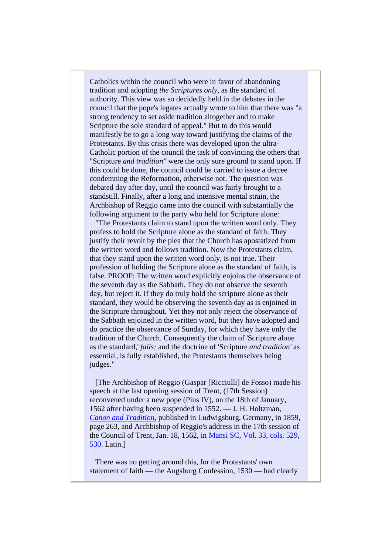Catholics within the council who were in favor of abandoning tradition and adopting *the Scriptures only,* as the standard of authority. This view was so decidedly held in the debates in the council that the pope's legates actually wrote to him that there was "a strong tendency to set aside tradition altogether and to make Scripture the sole standard of appeal." But to do this would manifestly be to go a long way toward justifying the claims of the Protestants. By this crisis there was developed upon the ultra-Catholic portion of the council the task of convincing the others that "Scripture *and tradition"* were the only sure ground to stand upon. If this could be done, the council could be carried to issue a decree condemning the Reformation, otherwise not. The question was debated day after day, until the council was fairly brought to a standstill. Finally, after a long and intensive mental strain, the Archbishop of Reggio came into the council with substantially the following argument to the party who held for Scripture alone:

 "The Protestants claim to stand upon the written word only. They profess to hold the Scripture alone as the standard of faith. They justify their revolt by the plea that the Church has apostatized from the written word and follows tradition. Now the Protestants claim, that they stand upon the written word only, is not true. Their profession of holding the Scripture alone as the standard of faith, is false. PROOF: The written word explicitly enjoins the observance of the seventh day as the Sabbath. They do not observe the seventh day, but reject it. If they do truly hold the scripture alone as their standard, they would be observing the seventh day as is enjoined in the Scripture throughout. Yet they not only reject the observance of the Sabbath enjoined in the written word, but they have adopted and do practice the observance of Sunday, for which they have only the tradition of the Church. Consequently the claim of 'Scripture alone as the standard,' *fails;* and the doctrine of 'Scripture *and tradition'* as essential, is fully established, the Protestants themselves being judges."

 [The Archbishop of Reggio (Gaspar [Ricciulli] de Fosso) made his speech at the last opening session of Trent, (17th Session) reconvened under a new pope (Pius IV), on the 18th of January, 1562 after having been suspended in 1552. — J. H. Holtzman, *Canon and Tradition*, published in Ludwigsburg, Germany, in 1859, page 263, and Archbishop of Reggio's address in the 17th session of the Council of Trent, Jan. 18, 1562, in Mansi SC, Vol. 33, cols. 529, 530. Latin.]

 There was no getting around this, for the Protestants' own statement of faith — the Augsburg Confession, 1530 — had clearly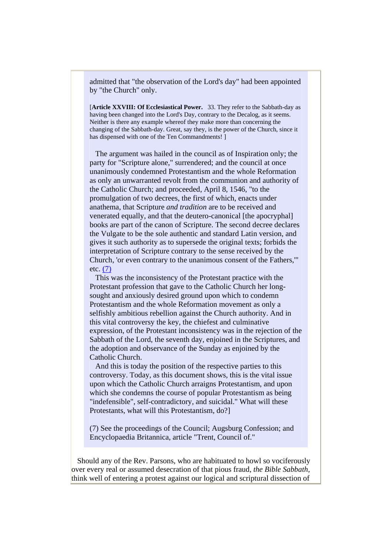admitted that "the observation of the Lord's day" had been appointed by "the Church" only.

[**Article XXVIII: Of Ecclesiastical Power.** 33. They refer to the Sabbath-day as having been changed into the Lord's Day, contrary to the Decalog, as it seems. Neither is there any example whereof they make more than concerning the changing of the Sabbath-day. Great, say they, is the power of the Church, since it has dispensed with one of the Ten Commandments! ]

 The argument was hailed in the council as of Inspiration only; the party for "Scripture alone," surrendered; and the council at once unanimously condemned Protestantism and the whole Reformation as only an unwarranted revolt from the communion and authority of the Catholic Church; and proceeded, April 8, 1546, "to the promulgation of two decrees, the first of which, enacts under anathema, that Scripture *and tradition* are to be received and venerated equally, and that the deutero-canonical [the apocryphal] books are part of the canon of Scripture. The second decree declares the Vulgate to be the sole authentic and standard Latin version, and gives it such authority as to supersede the original texts; forbids the interpretation of Scripture contrary to the sense received by the Church, 'or even contrary to the unanimous consent of the Fathers,'" etc. (7)

 This was the inconsistency of the Protestant practice with the Protestant profession that gave to the Catholic Church her longsought and anxiously desired ground upon which to condemn Protestantism and the whole Reformation movement as only a selfishly ambitious rebellion against the Church authority. And in this vital controversy the key, the chiefest and culminative expression, of the Protestant inconsistency was in the rejection of the Sabbath of the Lord, the seventh day, enjoined in the Scriptures, and the adoption and observance of the Sunday as enjoined by the Catholic Church.

 And this is today the position of the respective parties to this controversy. Today, as this document shows, this is the vital issue upon which the Catholic Church arraigns Protestantism, and upon which she condemns the course of popular Protestantism as being "indefensible", self-contradictory, and suicidal." What will these Protestants, what will this Protestantism, do?]

(7) See the proceedings of the Council; Augsburg Confession; and Encyclopaedia Britannica, article "Trent, Council of."

 Should any of the Rev. Parsons, who are habituated to howl so vociferously over every real or assumed desecration of that pious fraud, *the Bible Sabbath,* think well of entering a protest against our logical and scriptural dissection of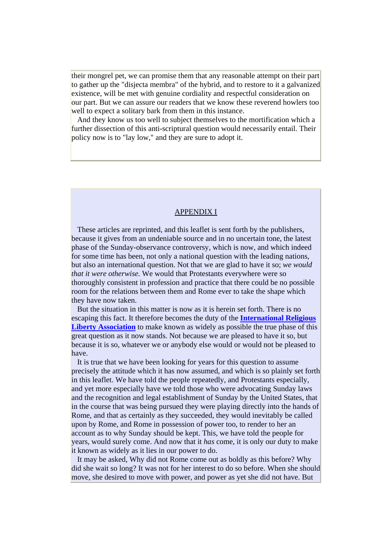their mongrel pet, we can promise them that any reasonable attempt on their part to gather up the "disjecta membra" of the hybrid, and to restore to it a galvanized existence, will be met with genuine cordiality and respectful consideration on our part. But we can assure our readers that we know these reverend howlers too well to expect a solitary bark from them in this instance.

 And they know us too well to subject themselves to the mortification which a further dissection of this anti-scriptural question would necessarily entail. Their policy now is to "lay low," and they are sure to adopt it.

#### APPENDIX I

 These articles are reprinted, and this leaflet is sent forth by the publishers, because it gives from an undeniable source and in no uncertain tone, the latest phase of the Sunday-observance controversy, which is now, and which indeed for some time has been, not only a national question with the leading nations, but also an international question. Not that we are glad to have it so; *we would that it were otherwise.* We would that Protestants everywhere were so thoroughly consistent in profession and practice that there could be no possible room for the relations between them and Rome ever to take the shape which they have now taken.

 But the situation in this matter is now as it is herein set forth. There is no escaping this fact. It therefore becomes the duty of the **International Religious Liberty Association** to make known as widely as possible the true phase of this great question as it now stands. Not because we are pleased to have it so, but because it is so, whatever we or anybody else would or would not be pleased to have.

 It is true that we have been looking for years for this question to assume precisely the attitude which it has now assumed, and which is so plainly set forth in this leaflet. We have told the people repeatedly, and Protestants especially, and yet more especially have we told those who were advocating Sunday laws and the recognition and legal establishment of Sunday by the United States, that in the course that was being pursued they were playing directly into the hands of Rome, and that as certainly as they succeeded, they would inevitably be called upon by Rome, and Rome in possession of power too, to render to her an account as to why Sunday should be kept. This, we have told the people for years, would surely come. And now that it *has* come, it is only our duty to make it known as widely as it lies in our power to do.

 It may be asked, Why did not Rome come out as boldly as this before? Why did she wait so long? It was not for her interest to do so before. When she should move, she desired to move with power, and power as yet she did not have. But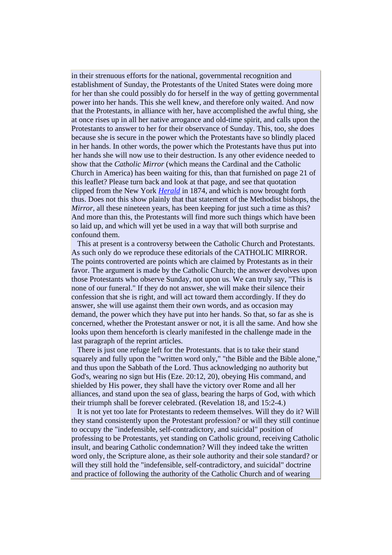in their strenuous efforts for the national, governmental recognition and establishment of Sunday, the Protestants of the United States were doing more for her than she could possibly do for herself in the way of getting governmental power into her hands. This she well knew, and therefore only waited. And now that the Protestants, in alliance with her, have accomplished the awful thing, she at once rises up in all her native arrogance and old-time spirit, and calls upon the Protestants to answer to her for their observance of Sunday. This, too, she does because she is secure in the power which the Protestants have so blindly placed in her hands. In other words, the power which the Protestants have thus put into her hands she will now use to their destruction. Is any other evidence needed to show that the *Catholic Mirror* (which means the Cardinal and the Catholic Church in America) has been waiting for this, than that furnished on page 21 of this leaflet? Please turn back and look at that page, and see that quotation clipped from the New York *Herald* in 1874, and which is now brought forth thus. Does not this show plainly that that statement of the Methodist bishops, the *Mirror*, all these nineteen years, has been keeping for just such a time as this? And more than this, the Protestants will find more such things which have been so laid up, and which will yet be used in a way that will both surprise and confound them.

 This at present is a controversy between the Catholic Church and Protestants. As such only do we reproduce these editorials of the CATHOLIC MIRROR. The points controverted are points which are claimed by Protestants as in their favor. The argument is made by the Catholic Church; the answer devolves upon those Protestants who observe Sunday, not upon us. We can truly say, "This is none of our funeral." If they do not answer, she will make their silence their confession that she is right, and will act toward them accordingly. If they do answer, she will use against them their own words, and as occasion may demand, the power which they have put into her hands. So that, so far as she is concerned, whether the Protestant answer or not, it is all the same. And how she looks upon them henceforth is clearly manifested in the challenge made in the last paragraph of the reprint articles.

 There is just one refuge left for the Protestants. that is to take their stand squarely and fully upon the "written word only," "the Bible and the Bible alone," and thus upon the Sabbath of the Lord. Thus acknowledging no authority but God's, wearing no sign but His (Eze. 20:12, 20), obeying His command, and shielded by His power, they shall have the victory over Rome and all her alliances, and stand upon the sea of glass, bearing the harps of God, with which their triumph shall be forever celebrated. (Revelation 18, and 15:2-4.)

 It is not yet too late for Protestants to redeem themselves. Will they do it? Will they stand consistently upon the Protestant profession? or will they still continue to occupy the "indefensible, self-contradictory, and suicidal" position of professing to be Protestants, yet standing on Catholic ground, receiving Catholic insult, and bearing Catholic condemnation? Will they indeed take the written word only, the Scripture alone, as their sole authority and their sole standard? or will they still hold the "indefensible, self-contradictory, and suicidal" doctrine and practice of following the authority of the Catholic Church and of wearing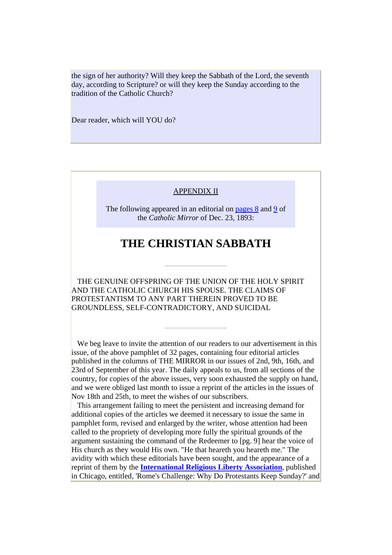the sign of her authority? Will they keep the Sabbath of the Lord, the seventh day, according to Scripture? or will they keep the Sunday according to the tradition of the Catholic Church?

Dear reader, which will YOU do?

#### APPENDIX II

The following appeared in an editorial on pages 8 and 9 of the *Catholic Mirror* of Dec. 23, 1893:

# **THE CHRISTIAN SABBATH**

 THE GENUINE OFFSPRING OF THE UNION OF THE HOLY SPIRIT AND THE CATHOLIC CHURCH HIS SPOUSE. THE CLAIMS OF PROTESTANTISM TO ANY PART THEREIN PROVED TO BE GROUNDLESS, SELF-CONTRADICTORY, AND SUICIDAL

 We beg leave to invite the attention of our readers to our advertisement in this issue, of the above pamphlet of 32 pages, containing four editorial articles published in the columns of THE MIRROR in our issues of 2nd, 9th, 16th, and 23rd of September of this year. The daily appeals to us, from all sections of the country, for copies of the above issues, very soon exhausted the supply on hand, and we were obliged last month to issue a reprint of the articles in the issues of Nov 18th and 25th, to meet the wishes of our subscribers.

 This arrangement failing to meet the persistent and increasing demand for additional copies of the articles we deemed it necessary to issue the same in pamphlet form, revised and enlarged by the writer, whose attention had been called to the propriety of developing more fully the spiritual grounds of the argument sustaining the command of the Redeemer to [pg. 9] hear the voice of His church as they would His own. "He that heareth you heareth me." The avidity with which these editorials have been sought, and the appearance of a reprint of them by the **International Religious Liberty Association**, published in Chicago, entitled, 'Rome's Challenge: Why Do Protestants Keep Sunday?' and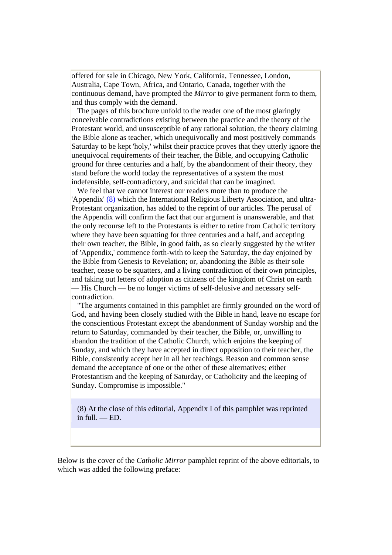offered for sale in Chicago, New York, California, Tennessee, London, Australia, Cape Town, Africa, and Ontario, Canada, together with the continuous demand, have prompted the *Mirror* to give permanent form to them, and thus comply with the demand.

 The pages of this brochure unfold to the reader one of the most glaringly conceivable contradictions existing between the practice and the theory of the Protestant world, and unsusceptible of any rational solution, the theory claiming the Bible alone as teacher, which unequivocally and most positively commands Saturday to be kept 'holy,' whilst their practice proves that they utterly ignore the unequivocal requirements of their teacher, the Bible, and occupying Catholic ground for three centuries and a half, by the abandonment of their theory, they stand before the world today the representatives of a system the most indefensible, self-contradictory, and suicidal that can be imagined.

 We feel that we cannot interest our readers more than to produce the 'Appendix' (8) which the International Religious Liberty Association, and ultra-Protestant organization, has added to the reprint of our articles. The perusal of the Appendix will confirm the fact that our argument is unanswerable, and that the only recourse left to the Protestants is either to retire from Catholic territory where they have been squatting for three centuries and a half, and accepting their own teacher, the Bible, in good faith, as so clearly suggested by the writer of 'Appendix,' commence forth-with to keep the Saturday, the day enjoined by the Bible from Genesis to Revelation; or, abandoning the Bible as their sole teacher, cease to be squatters, and a living contradiction of their own principles, and taking out letters of adoption as citizens of the kingdom of Christ on earth — His Church — be no longer victims of self-delusive and necessary selfcontradiction.

 "The arguments contained in this pamphlet are firmly grounded on the word of God, and having been closely studied with the Bible in hand, leave no escape for the conscientious Protestant except the abandonment of Sunday worship and the return to Saturday, commanded by their teacher, the Bible, or, unwilling to abandon the tradition of the Catholic Church, which enjoins the keeping of Sunday, and which they have accepted in direct opposition to their teacher, the Bible, consistently accept her in all her teachings. Reason and common sense demand the acceptance of one or the other of these alternatives; either Protestantism and the keeping of Saturday, or Catholicity and the keeping of Sunday. Compromise is impossible."

(8) At the close of this editorial, Appendix I of this pamphlet was reprinted in full.  $-$  ED.

Below is the cover of the *Catholic Mirror* pamphlet reprint of the above editorials, to which was added the following preface: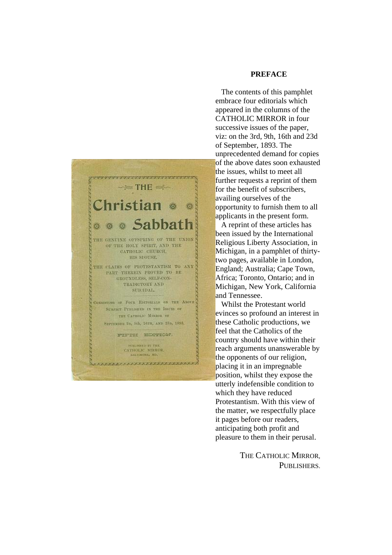

#### **PREFACE**

 The contents of this pamphlet embrace four editorials which appeared in the columns of the CATHOLIC MIRROR in four successive issues of the paper, viz: on the 3rd, 9th, 16th and 23d of September, 1893. The unprecedented demand for copies of the above dates soon exhausted the issues, whilst to meet all further requests a reprint of them for the benefit of subscribers. availing ourselves of the opportunity to furnish them to all applicants in the present form.

 A reprint of these articles has been issued by the International Religious Liberty Association, in Michigan, in a pamphlet of thirtytwo pages, available in London, England; Australia; Cape Town, Africa; Toronto, Ontario; and in Michigan, New York, California and Tennessee.

 Whilst the Protestant world evinces so profound an interest in these Catholic productions, we feel that the Catholics of the country should have within their reach arguments unanswerable by the opponents of our religion, placing it in an impregnable position, whilst they expose the utterly indefensible condition to which they have reduced Protestantism. With this view of the matter, we respectfully place it pages before our readers, anticipating both profit and pleasure to them in their perusal.

> THE CATHOLIC MIRROR. PUBLISHERS.